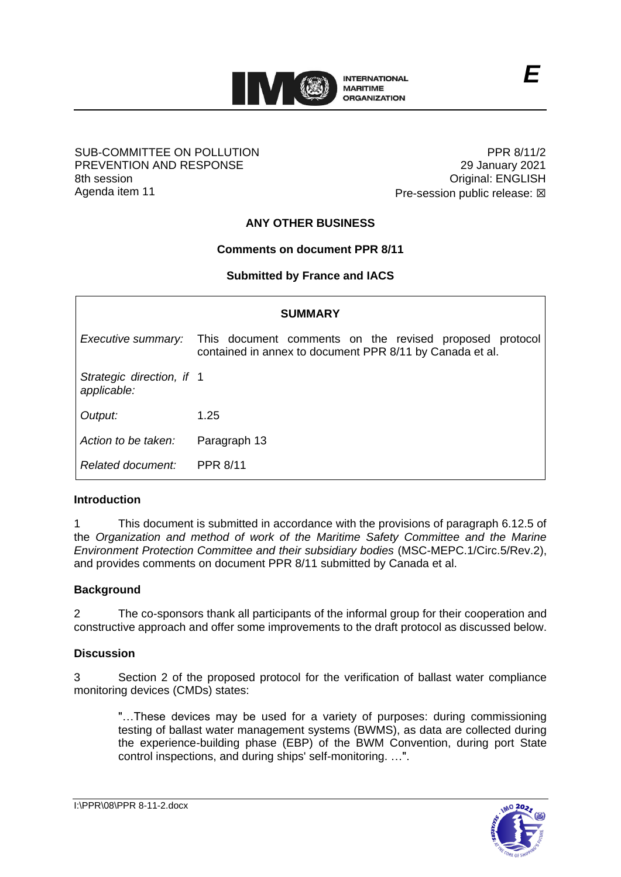

### SUB-COMMITTEE ON POLLUTION PREVENTION AND RESPONSE 8th session Agenda item 11

PPR 8/11/2 29 January 2021 Original: ENGLISH Pre-session public release:  $\boxtimes$ 

# **ANY OTHER BUSINESS**

# **Comments on document PPR 8/11**

# **Submitted by France and IACS**

| <b>SUMMARY</b>                           |                                                                                                                     |
|------------------------------------------|---------------------------------------------------------------------------------------------------------------------|
| Executive summary:                       | This document comments on the revised proposed protocol<br>contained in annex to document PPR 8/11 by Canada et al. |
| Strategic direction, if 1<br>applicable: |                                                                                                                     |
| Output:                                  | 1.25                                                                                                                |
| Action to be taken:                      | Paragraph 13                                                                                                        |
| Related document:                        | <b>PPR 8/11</b>                                                                                                     |

# **Introduction**

1 This document is submitted in accordance with the provisions of paragraph 6.12.5 of the *Organization and method of work of the Maritime Safety Committee and the Marine Environment Protection Committee and their subsidiary bodies* (MSC-MEPC.1/Circ.5/Rev.2), and provides comments on document PPR 8/11 submitted by Canada et al.

# **Background**

2 The co-sponsors thank all participants of the informal group for their cooperation and constructive approach and offer some improvements to the draft protocol as discussed below.

# **Discussion**

3 Section 2 of the proposed protocol for the verification of ballast water compliance monitoring devices (CMDs) states:

"…These devices may be used for a variety of purposes: during commissioning testing of ballast water management systems (BWMS), as data are collected during the experience-building phase (EBP) of the BWM Convention, during port State control inspections, and during ships' self-monitoring. …".



*E*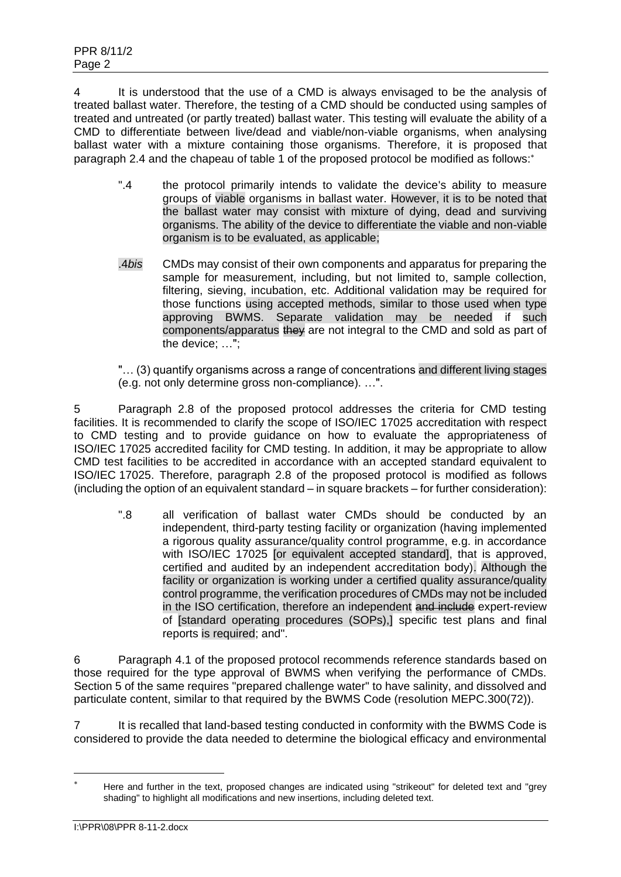4 It is understood that the use of a CMD is always envisaged to be the analysis of treated ballast water. Therefore, the testing of a CMD should be conducted using samples of treated and untreated (or partly treated) ballast water. This testing will evaluate the ability of a CMD to differentiate between live/dead and viable/non-viable organisms, when analysing ballast water with a mixture containing those organisms. Therefore, it is proposed that paragraph 2.4 and the chapeau of table 1 of the proposed protocol be modified as follows:\*

- ".4 the protocol primarily intends to validate the device's ability to measure groups of viable organisms in ballast water. However, it is to be noted that the ballast water may consist with mixture of dying, dead and surviving organisms. The ability of the device to differentiate the viable and non-viable organism is to be evaluated, as applicable;
- .4*bis* CMDs may consist of their own components and apparatus for preparing the sample for measurement, including, but not limited to, sample collection, filtering, sieving, incubation, etc. Additional validation may be required for those functions using accepted methods, similar to those used when type approving BWMS. Separate validation may be needed if such components/apparatus they are not integral to the CMD and sold as part of the device; …";

"… (3) quantify organisms across a range of concentrations and different living stages (e.g. not only determine gross non-compliance). …".

5 Paragraph 2.8 of the proposed protocol addresses the criteria for CMD testing facilities. It is recommended to clarify the scope of ISO/IEC 17025 accreditation with respect to CMD testing and to provide guidance on how to evaluate the appropriateness of ISO/IEC 17025 accredited facility for CMD testing. In addition, it may be appropriate to allow CMD test facilities to be accredited in accordance with an accepted standard equivalent to ISO/IEC 17025. Therefore, paragraph 2.8 of the proposed protocol is modified as follows (including the option of an equivalent standard – in square brackets – for further consideration):

".8 all verification of ballast water CMDs should be conducted by an independent, third-party testing facility or organization (having implemented a rigorous quality assurance/quality control programme, e.g. in accordance with ISO/IEC 17025 [or equivalent accepted standard], that is approved, certified and audited by an independent accreditation body). Although the facility or organization is working under a certified quality assurance/quality control programme, the verification procedures of CMDs may not be included in the ISO certification, therefore an independent and include expert-review of [standard operating procedures (SOPs),] specific test plans and final reports is required; and".

6 Paragraph 4.1 of the proposed protocol recommends reference standards based on those required for the type approval of BWMS when verifying the performance of CMDs. Section 5 of the same requires "prepared challenge water" to have salinity, and dissolved and particulate content, similar to that required by the BWMS Code (resolution MEPC.300(72)).

7 It is recalled that land-based testing conducted in conformity with the BWMS Code is considered to provide the data needed to determine the biological efficacy and environmental

Here and further in the text, proposed changes are indicated using "strikeout" for deleted text and "grey shading" to highlight all modifications and new insertions, including deleted text.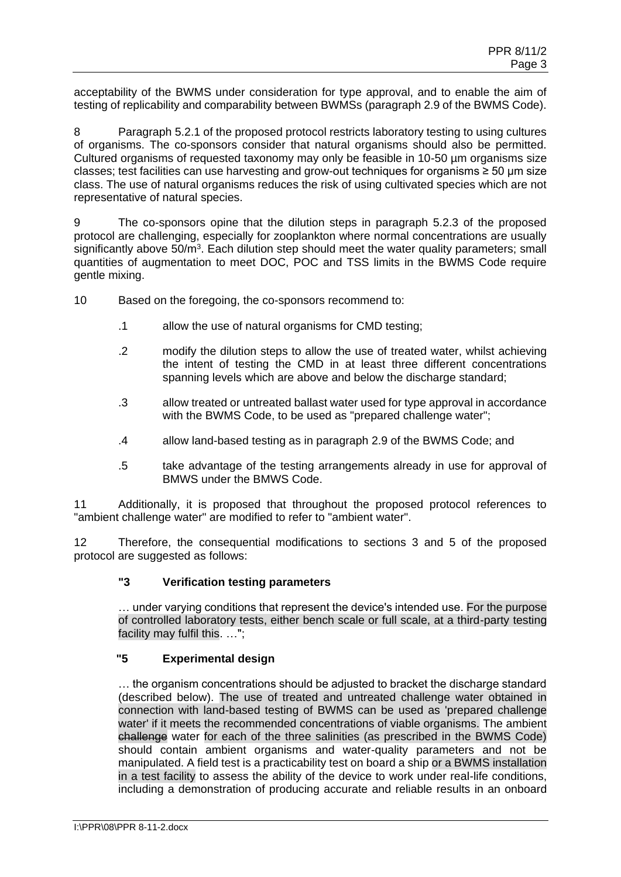acceptability of the BWMS under consideration for type approval, and to enable the aim of testing of replicability and comparability between BWMSs (paragraph 2.9 of the BWMS Code).

8 Paragraph 5.2.1 of the proposed protocol restricts laboratory testing to using cultures of organisms. The co-sponsors consider that natural organisms should also be permitted. Cultured organisms of requested taxonomy may only be feasible in 10-50 um organisms size classes; test facilities can use harvesting and grow-out techniques for organisms ≥ 50 µm size class. The use of natural organisms reduces the risk of using cultivated species which are not representative of natural species.

9 The co-sponsors opine that the dilution steps in paragraph 5.2.3 of the proposed protocol are challenging, especially for zooplankton where normal concentrations are usually significantly above 50/m<sup>3</sup>. Each dilution step should meet the water quality parameters; small quantities of augmentation to meet DOC, POC and TSS limits in the BWMS Code require gentle mixing.

- 10 Based on the foregoing, the co-sponsors recommend to:
	- .1 allow the use of natural organisms for CMD testing;
	- .2 modify the dilution steps to allow the use of treated water, whilst achieving the intent of testing the CMD in at least three different concentrations spanning levels which are above and below the discharge standard;
	- .3 allow treated or untreated ballast water used for type approval in accordance with the BWMS Code, to be used as "prepared challenge water";
	- .4 allow land-based testing as in paragraph 2.9 of the BWMS Code; and
	- .5 take advantage of the testing arrangements already in use for approval of BMWS under the BMWS Code.

11 Additionally, it is proposed that throughout the proposed protocol references to "ambient challenge water" are modified to refer to "ambient water".

12 Therefore, the consequential modifications to sections 3 and 5 of the proposed protocol are suggested as follows:

# **"3 Verification testing parameters**

… under varying conditions that represent the device's intended use. For the purpose of controlled laboratory tests, either bench scale or full scale, at a third-party testing facility may fulfil this. ...":

#### **"5 Experimental design**

… the organism concentrations should be adjusted to bracket the discharge standard (described below). The use of treated and untreated challenge water obtained in connection with land-based testing of BWMS can be used as 'prepared challenge water' if it meets the recommended concentrations of viable organisms. The ambient challenge water for each of the three salinities (as prescribed in the BWMS Code) should contain ambient organisms and water-quality parameters and not be manipulated. A field test is a practicability test on board a ship or a BWMS installation in a test facility to assess the ability of the device to work under real-life conditions, including a demonstration of producing accurate and reliable results in an onboard